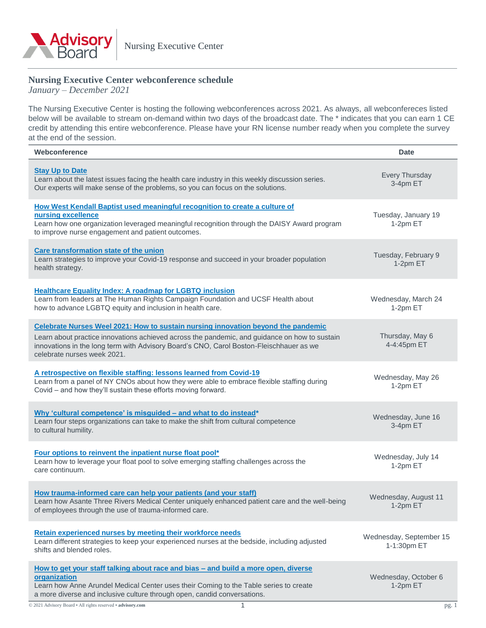

# **Nursing Executive Center webconference schedule**

*January – December 2021* 

The Nursing Executive Center is hosting the following webconferences across 2021. As always, all webconfereces listed below will be available to stream on-demand within two days of the broadcast date. The \* indicates that you can earn 1 CE credit by attending this entire webconference. Please have your RN license number ready when you complete the survey at the end of the session.

| Webconference                                                                                                                                                                                                                                                                                                | <b>Date</b>                            |
|--------------------------------------------------------------------------------------------------------------------------------------------------------------------------------------------------------------------------------------------------------------------------------------------------------------|----------------------------------------|
| <b>Stay Up to Date</b><br>Learn about the latest issues facing the health care industry in this weekly discussion series.<br>Our experts will make sense of the problems, so you can focus on the solutions.                                                                                                 | Every Thursday<br>3-4pm ET             |
| How West Kendall Baptist used meaningful recognition to create a culture of<br>nursing excellence<br>Learn how one organization leveraged meaningful recognition through the DAISY Award program<br>to improve nurse engagement and patient outcomes.                                                        | Tuesday, January 19<br>1-2pm ET        |
| Care transformation state of the union<br>Learn strategies to improve your Covid-19 response and succeed in your broader population<br>health strategy.                                                                                                                                                      | Tuesday, February 9<br>1-2pm ET        |
| <b>Healthcare Equality Index: A roadmap for LGBTQ inclusion</b><br>Learn from leaders at The Human Rights Campaign Foundation and UCSF Health about<br>how to advance LGBTQ equity and inclusion in health care.                                                                                             | Wednesday, March 24<br>1-2pm ET        |
| Celebrate Nurses Weel 2021: How to sustain nursing innovation beyond the pandemic<br>Learn about practice innovations achieved across the pandemic, and guidance on how to sustain<br>innovations in the long term with Advisory Board's CNO, Carol Boston-Fleischhauer as we<br>celebrate nurses week 2021. | Thursday, May 6<br>4-4:45pm ET         |
| A retrospective on flexible staffing: lessons learned from Covid-19<br>Learn from a panel of NY CNOs about how they were able to embrace flexible staffing during<br>Covid - and how they'll sustain these efforts moving forward.                                                                           | Wednesday, May 26<br>1-2pm ET          |
| Why 'cultural competence' is misguided - and what to do instead*<br>Learn four steps organizations can take to make the shift from cultural competence<br>to cultural humility.                                                                                                                              | Wednesday, June 16<br>3-4pm ET         |
| Four options to reinvent the inpatient nurse float pool*<br>Learn how to leverage your float pool to solve emerging staffing challenges across the<br>care continuum.                                                                                                                                        | Wednesday, July 14<br>1-2pm ET         |
| How trauma-informed care can help your patients (and your staff)<br>Learn how Asante Three Rivers Medical Center uniquely enhanced patient care and the well-being<br>of employees through the use of trauma-informed care.                                                                                  | Wednesday, August 11<br>1-2pm ET       |
| Retain experienced nurses by meeting their workforce needs<br>Learn different strategies to keep your experienced nurses at the bedside, including adjusted<br>shifts and blended roles.                                                                                                                     | Wednesday, September 15<br>1-1:30pm ET |
| How to get your staff talking about race and bias - and build a more open, diverse<br>organization<br>Learn how Anne Arundel Medical Center uses their Coming to the Table series to create<br>a more diverse and inclusive culture through open, candid conversations.                                      | Wednesday, October 6<br>1-2pm ET       |